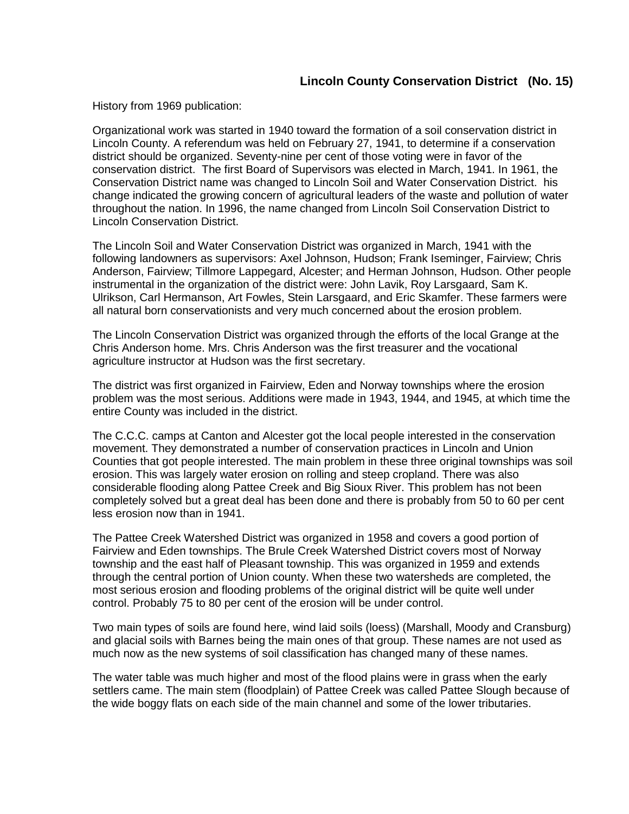## **Lincoln County Conservation District (No. 15)**

History from 1969 publication:

Organizational work was started in 1940 toward the formation of a soil conservation district in Lincoln County. A referendum was held on February 27, 1941, to determine if a conservation district should be organized. Seventy-nine per cent of those voting were in favor of the conservation district. The first Board of Supervisors was elected in March, 1941. In 1961, the Conservation District name was changed to Lincoln Soil and Water Conservation District. his change indicated the growing concern of agricultural leaders of the waste and pollution of water throughout the nation. In 1996, the name changed from Lincoln Soil Conservation District to Lincoln Conservation District.

The Lincoln Soil and Water Conservation District was organized in March, 1941 with the following landowners as supervisors: Axel Johnson, Hudson; Frank Iseminger, Fairview; Chris Anderson, Fairview; Tillmore Lappegard, Alcester; and Herman Johnson, Hudson. Other people instrumental in the organization of the district were: John Lavik, Roy Larsgaard, Sam K. Ulrikson, Carl Hermanson, Art Fowles, Stein Larsgaard, and Eric Skamfer. These farmers were all natural born conservationists and very much concerned about the erosion problem.

The Lincoln Conservation District was organized through the efforts of the local Grange at the Chris Anderson home. Mrs. Chris Anderson was the first treasurer and the vocational agriculture instructor at Hudson was the first secretary.

The district was first organized in Fairview, Eden and Norway townships where the erosion problem was the most serious. Additions were made in 1943, 1944, and 1945, at which time the entire County was included in the district.

The C.C.C. camps at Canton and Alcester got the local people interested in the conservation movement. They demonstrated a number of conservation practices in Lincoln and Union Counties that got people interested. The main problem in these three original townships was soil erosion. This was largely water erosion on rolling and steep cropland. There was also considerable flooding along Pattee Creek and Big Sioux River. This problem has not been completely solved but a great deal has been done and there is probably from 50 to 60 per cent less erosion now than in 1941.

The Pattee Creek Watershed District was organized in 1958 and covers a good portion of Fairview and Eden townships. The Brule Creek Watershed District covers most of Norway township and the east half of Pleasant township. This was organized in 1959 and extends through the central portion of Union county. When these two watersheds are completed, the most serious erosion and flooding problems of the original district will be quite well under control. Probably 75 to 80 per cent of the erosion will be under control.

Two main types of soils are found here, wind laid soils (loess) (Marshall, Moody and Cransburg) and glacial soils with Barnes being the main ones of that group. These names are not used as much now as the new systems of soil classification has changed many of these names.

The water table was much higher and most of the flood plains were in grass when the early settlers came. The main stem (floodplain) of Pattee Creek was called Pattee Slough because of the wide boggy flats on each side of the main channel and some of the lower tributaries.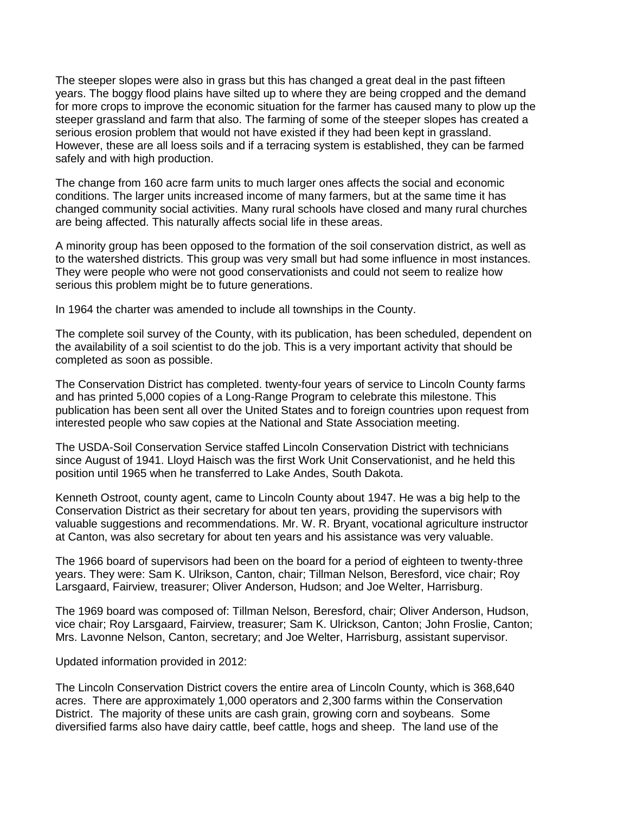The steeper slopes were also in grass but this has changed a great deal in the past fifteen years. The boggy flood plains have silted up to where they are being cropped and the demand for more crops to improve the economic situation for the farmer has caused many to plow up the steeper grassland and farm that also. The farming of some of the steeper slopes has created a serious erosion problem that would not have existed if they had been kept in grassland. However, these are all loess soils and if a terracing system is established, they can be farmed safely and with high production.

The change from 160 acre farm units to much larger ones affects the social and economic conditions. The larger units increased income of many farmers, but at the same time it has changed community social activities. Many rural schools have closed and many rural churches are being affected. This naturally affects social life in these areas.

A minority group has been opposed to the formation of the soil conservation district, as well as to the watershed districts. This group was very small but had some influence in most instances. They were people who were not good conservationists and could not seem to realize how serious this problem might be to future generations.

In 1964 the charter was amended to include all townships in the County.

The complete soil survey of the County, with its publication, has been scheduled, dependent on the availability of a soil scientist to do the job. This is a very important activity that should be completed as soon as possible.

The Conservation District has completed. twenty-four years of service to Lincoln County farms and has printed 5,000 copies of a Long-Range Program to celebrate this milestone. This publication has been sent all over the United States and to foreign countries upon request from interested people who saw copies at the National and State Association meeting.

The USDA-Soil Conservation Service staffed Lincoln Conservation District with technicians since August of 1941. Lloyd Haisch was the first Work Unit Conservationist, and he held this position until 1965 when he transferred to Lake Andes, South Dakota.

Kenneth Ostroot, county agent, came to Lincoln County about 1947. He was a big help to the Conservation District as their secretary for about ten years, providing the supervisors with valuable suggestions and recommendations. Mr. W. R. Bryant, vocational agriculture instructor at Canton, was also secretary for about ten years and his assistance was very valuable.

The 1966 board of supervisors had been on the board for a period of eighteen to twenty-three years. They were: Sam K. Ulrikson, Canton, chair; Tillman Nelson, Beresford, vice chair; Roy Larsgaard, Fairview, treasurer; Oliver Anderson, Hudson; and Joe Welter, Harrisburg.

The 1969 board was composed of: Tillman Nelson, Beresford, chair; Oliver Anderson, Hudson, vice chair; Roy Larsgaard, Fairview, treasurer; Sam K. Ulrickson, Canton; John Froslie, Canton; Mrs. Lavonne Nelson, Canton, secretary; and Joe Welter, Harrisburg, assistant supervisor.

Updated information provided in 2012:

The Lincoln Conservation District covers the entire area of Lincoln County, which is 368,640 acres. There are approximately 1,000 operators and 2,300 farms within the Conservation District. The majority of these units are cash grain, growing corn and soybeans. Some diversified farms also have dairy cattle, beef cattle, hogs and sheep. The land use of the